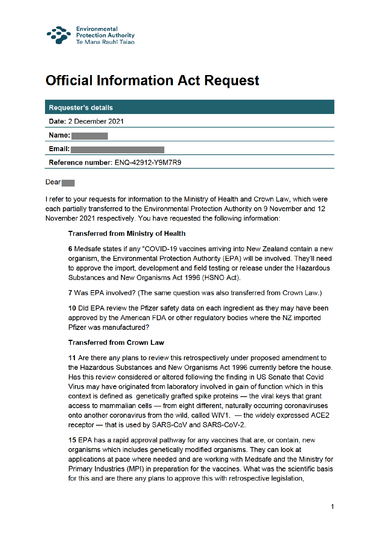

# **Official Information Act Request**

### **Requester's details**

Date: 2 December 2021

Name:

Email:

Reference number: ENQ-42912-Y9M7R9

 $Dear$ 

I refer to your requests for information to the Ministry of Health and Crown Law, which were each partially transferred to the Environmental Protection Authority on 9 November and 12 November 2021 respectively. You have requested the following information:

# **Transferred from Ministry of Health**

6 Medsafe states if any "COVID-19 vaccines arriving into New Zealand contain a new organism, the Environmental Protection Authority (EPA) will be involved. They'll need to approve the import, development and field testing or release under the Hazardous Substances and New Organisms Act 1996 (HSNO Act).

7 Was EPA involved? (The same question was also transferred from Crown Law.)

10 Did EPA review the Pfizer safety data on each ingredient as they may have been approved by the American FDA or other regulatory bodies where the NZ imported Pfizer was manufactured?

### **Transferred from Crown Law**

11 Are there any plans to review this retrospectively under proposed amendment to the Hazardous Substances and New Organisms Act 1996 currently before the house. Has this review considered or altered following the finding in US Senate that Covid Virus may have originated from laboratory involved in gain of function which in this context is defined as genetically grafted spike proteins — the viral keys that grant access to mammalian cells — from eight different, naturally occurring coronaviruses onto another coronavirus from the wild, called WIV1. - the widely expressed ACE2 receptor - that is used by SARS-CoV and SARS-CoV-2.

15 EPA has a rapid approval pathway for any vaccines that are, or contain, new organisms which includes genetically modified organisms. They can look at applications at pace where needed and are working with Medsafe and the Ministry for Primary Industries (MPI) in preparation for the vaccines. What was the scientific basis for this and are there any plans to approve this with retrospective legislation,